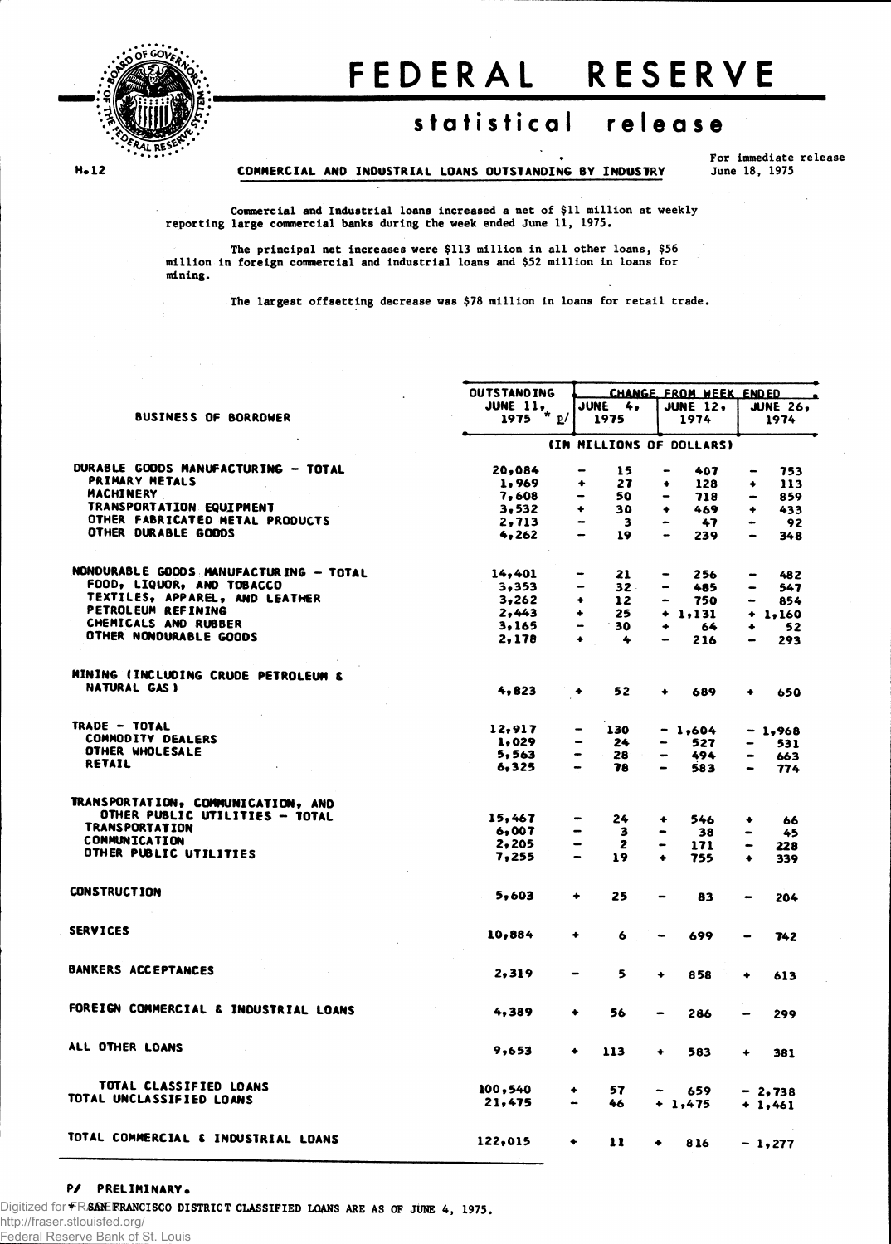

**H. 12**

## FEDERA L RESERV E

## **statistica l releas e**

**COMMERCIAL AND INDUSTRIAL LOANS OUTSTANDING BY INDUSTRY**

For immediate release June 18, 1975

Commercial and Industrial loans Increased a net of \$11 million at weekly reporting large commercial banks during the week ended June 11, 1975.

The principal net increases were \$113 million in all other loans, \$56 million in foreign commercial and industrial loans and \$52 million in loans for mining.

The largest offsetting decrease was \$78 million in loans for retail trade.

|                                        | <b>OUTSTANDING</b> | <b>CHANGE FROM WEEK ENDED</b>       |                                     |                                 |  |  |  |  |
|----------------------------------------|--------------------|-------------------------------------|-------------------------------------|---------------------------------|--|--|--|--|
|                                        | <b>JUNE 11,</b>    |                                     | <b>JUNE 26.</b>                     |                                 |  |  |  |  |
| <b>BUSINESS OF BORROWER</b>            | 1975<br>P'         | JUNE 4,<br>1975                     | <b>JUNE 12.</b><br>1974             | 1974                            |  |  |  |  |
|                                        |                    |                                     |                                     |                                 |  |  |  |  |
|                                        |                    |                                     | (IN MILLIONS OF DOLLARS)            |                                 |  |  |  |  |
| DURABLE GOODS MANUFACTURING - TOTAL    | 20,084             | 15<br>-                             | 407<br>$\overline{\phantom{0}}$     | 753<br>$\overline{\phantom{m}}$ |  |  |  |  |
| PRIMARY METALS                         | 1,969              | ٠<br>27                             | 128<br>۰                            | 113<br>٠                        |  |  |  |  |
| <b>MACHINERY</b>                       | 7,608              | 50                                  | -<br>718                            | 859<br>$\overline{\phantom{0}}$ |  |  |  |  |
| <b>TRANSPORTATION EQUIPMENT</b>        | 3,532              | ۰<br>30                             | 469<br>٠                            | 433<br>٠                        |  |  |  |  |
| OTHER FABRICATED METAL PRODUCTS        | 2,713              | $\overline{\mathbf{3}}$             | 47<br>-                             | 92<br>$\bullet$                 |  |  |  |  |
| OTHER DURABLE GOODS                    | 4,262              | 19                                  | $\bullet$<br>239                    | 348<br>$\rightarrow$            |  |  |  |  |
|                                        |                    |                                     |                                     |                                 |  |  |  |  |
| NONDURABLE GOODS MANUFACTURING - TOTAL | 14,401             | 21<br>$\qquad \qquad$               | 256<br>$\qquad \qquad$              | 482<br>$\overline{\phantom{a}}$ |  |  |  |  |
| FOOD, LIQUOR, AND TOBACCO              | 3,353              | $32 -$                              | 485<br>$\overline{\phantom{0}}$     | 547<br>-                        |  |  |  |  |
| TEXTILES, APPAREL, AND LEATHER         | 3,262              | 12 <sup>2</sup><br>۰                | 750<br>$\overline{\phantom{0}}$     | 854<br>-                        |  |  |  |  |
| PETROLEUM REFINING                     | 2,443              | 25<br>۰                             | $+ 1,131$                           | $+ 1,160$                       |  |  |  |  |
| CHEMICALS AND RUBBER                   | 3,165              | -<br>30                             | ٠<br>64                             | 52<br>۰                         |  |  |  |  |
| OTHER NONDURABLE GOODS                 | 2,178              | $\blacktriangle$<br>4               | 216                                 | 293<br>-                        |  |  |  |  |
|                                        |                    |                                     |                                     |                                 |  |  |  |  |
| MINING (INCLUDING CRUDE PETROLEUM &    |                    |                                     |                                     |                                 |  |  |  |  |
| NATURAL GAS )                          | 4,823              | 52<br>۰                             | 689                                 | 650                             |  |  |  |  |
| TRADE - TOTAL                          | 12,917             | 130<br>$\qquad \qquad \blacksquare$ | $-1,604$                            |                                 |  |  |  |  |
| <b>COMMODITY DEALERS</b>               | 1,029              | 24<br>-                             | -<br>527                            | $-1.968$<br>531                 |  |  |  |  |
| OTHER WHOLESALE                        | 5,563              | $\bullet$<br>28                     | 494<br>-                            |                                 |  |  |  |  |
| RETAIL                                 | 6,325              | 78<br>$\rightarrow$                 | 583<br>-                            | 663<br>774<br>$\bullet$         |  |  |  |  |
|                                        |                    |                                     |                                     |                                 |  |  |  |  |
| TRANSPORTATION, COMMUNICATION, AND     |                    |                                     |                                     |                                 |  |  |  |  |
| OTHER PUBLIC UTILITIES - TOTAL         | 15,467             | 24                                  | 546<br>۰                            | 66<br>۰                         |  |  |  |  |
| <b>TRANSPORTATION</b>                  | 6,007              | $\overline{\mathbf{3}}$<br>-        | 38<br>$\blacksquare$                | 45                              |  |  |  |  |
| <b>COMMUNICATION</b>                   | 2,205              | $\mathbf{z}$<br>-                   | 171<br>$\qquad \qquad \blacksquare$ | $\overline{\phantom{0}}$<br>228 |  |  |  |  |
| OTHER PUBLIC UTILITIES                 | 7,255              | 19                                  | 755<br>٠                            | 339<br>۰                        |  |  |  |  |
| <b>CONSTRUCTION</b>                    | 5,603              | ٠<br>25                             | 83<br>$\overline{\phantom{0}}$      | 204<br>$\bullet$                |  |  |  |  |
|                                        |                    |                                     |                                     |                                 |  |  |  |  |
| <b>SERVICES</b>                        | 10,884             | ٠<br>6                              | 699                                 | 742                             |  |  |  |  |
| <b>BANKERS ACCEPTANCES</b>             | 2.319              | 5                                   | 858<br>٠                            | ۰<br>613                        |  |  |  |  |
| FOREIGN COMMERCIAL & INDUSTRIAL LOANS  | 4.389              | ٠<br>56                             | 286                                 | 299                             |  |  |  |  |
| ALL OTHER LOANS                        | 9,653              | ۰<br>113                            | 583<br>٠                            | ۰<br>381                        |  |  |  |  |
| TOTAL CLASSIFIED LOANS                 | 100,540            | 57<br>۰                             | 659                                 | $-2,738$                        |  |  |  |  |
| TOTAL UNCLASSIFIED LOANS               | 21,475             | 46                                  | $+ 1,475$                           |                                 |  |  |  |  |
|                                        |                    |                                     |                                     | + 1.461                         |  |  |  |  |
| TOTAL COMMERCIAL & INDUSTRIAL LOANS    | 122,015            | ۰<br>11                             | $\bullet$<br>816                    | $-1,277$                        |  |  |  |  |

**P/ PRELIMINARY.**

Digitized for **FRAANE RRANCISCO DISTRICT CLASSIFIED LOANS ARE AS OF JUNE 4, 1975.** http://fraser.stlouisfed.org/

Federal Reserve Bank of St. Louis